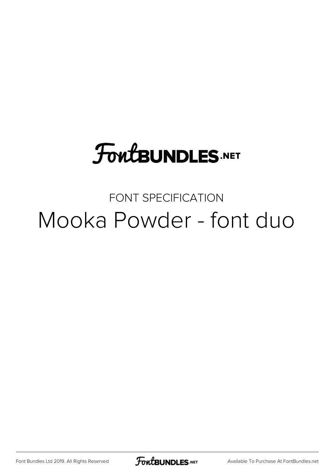# **FoutBUNDLES.NET**

### FONT SPECIFICATION Mooka Powder - font duo

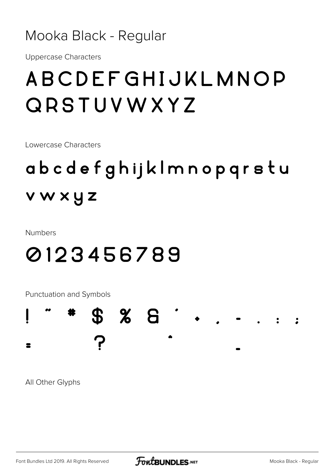#### Mooka Black - Regular

**Uppercase Characters** 

### ABCDEFGHIJKLMNOP **QRSTUVWXYZ**

Lowercase Characters

## abcdefghijklmnopqrstu vwxyz

**Numbers** 

### 0123456789

Punctuation and Symbols

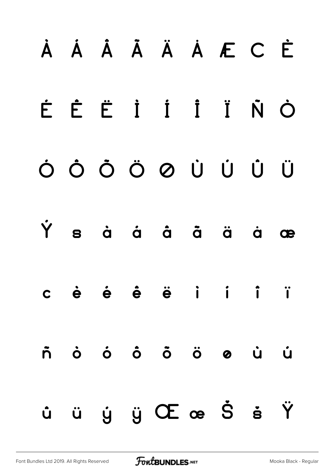# À Á Â Ã Ä Å Æ Ç È É Ê Ë Ì Í Î Ï Ñ Ò Ó Ô Õ Ö Ø Ù Ú Û Ü Ý ß à á â ã ä å æ ç è é ê ë ì í î ï ñ ò ó ô õ ö ø ù ú û ü ý ÿ Œ œ Š š Ÿ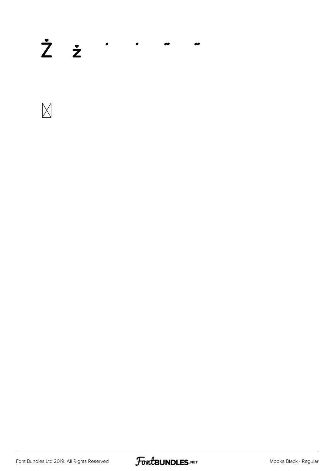#### $\dot{Z}$   $\dot{z}$   $\cdot$   $\cdot$   $\cdot$  $\bullet$



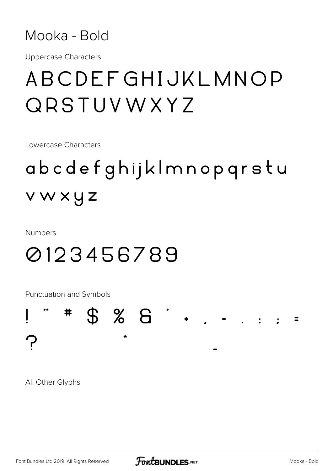

**Uppercase Characters** 

### ABCDEFGHIJKLMNOP QRSTUVWXYZ

Lowercase Characters

# abcdefghijklmnopgrstu vwxyz

**Numbers** 

### 0123456789

Punctuation and Symbols

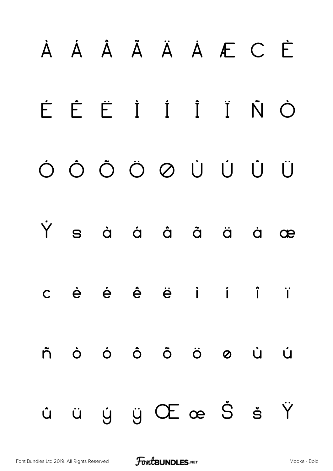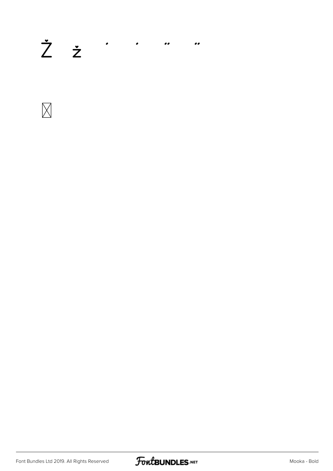## $\dot{Z}$   $\dot{z}$   $\cdot$   $\cdot$   $\cdot$   $\cdot$   $\cdot$



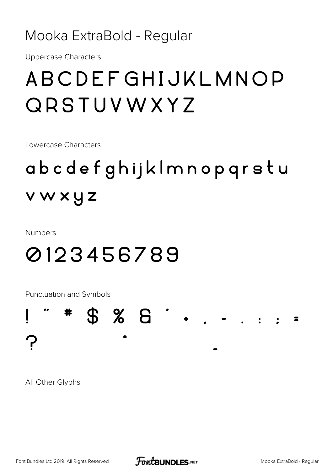#### Mooka ExtraBold - Regular

**Uppercase Characters** 

### ABCDEFGHIJKLMNOP QRSTUVWXYZ

Lowercase Characters

## abcdefghijklmnopgrstu vwxyz

**Numbers** 

### 0123456789

Punctuation and Symbols

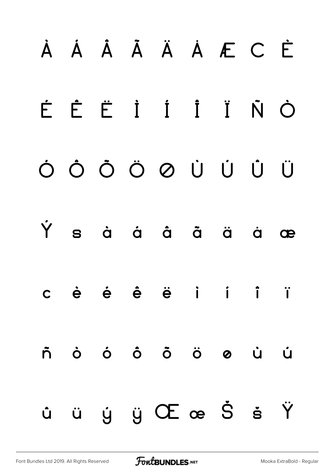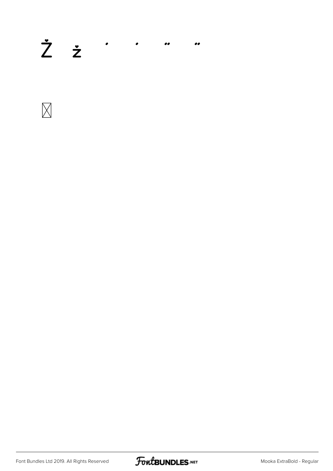#### $\dot{Z}$   $\dot{z}$   $\cdot$   $\cdot$   $\cdot$  $\bullet$



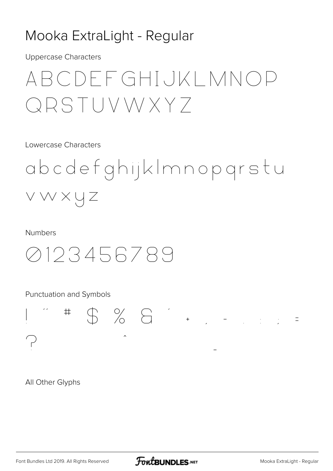#### Mooka ExtraLight - Regular

**Uppercase Characters** 

### ARCDFFGHIJKLMNOP QRSTUVWXY7

**Lowercase Characters** 

abcdefghijkImnopgrstu VWXYZ

**Numbers** 



Punctuation and Symbols

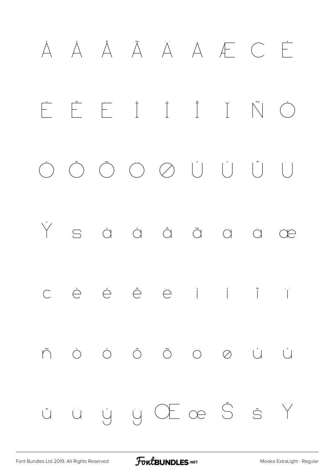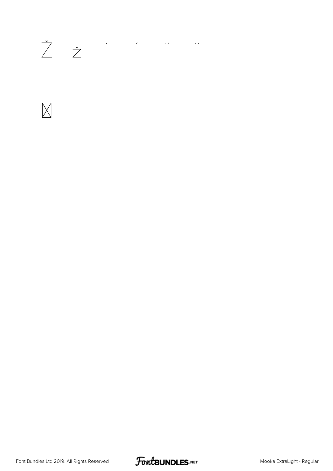## 



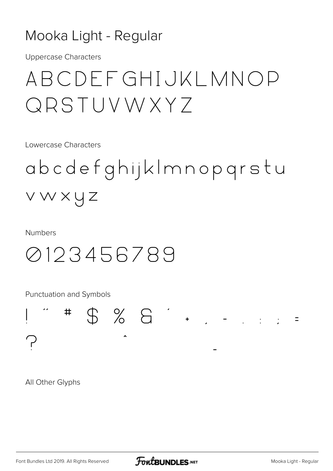#### Mooka Light - Regular

**Uppercase Characters** 

### ABCDFFGHIJKLMNOP QRSTUVWXY7

Lowercase Characters

# abcdefghijkImnopgrstu vwxyz

**Numbers** 

### 0123456789

Punctuation and Symbols

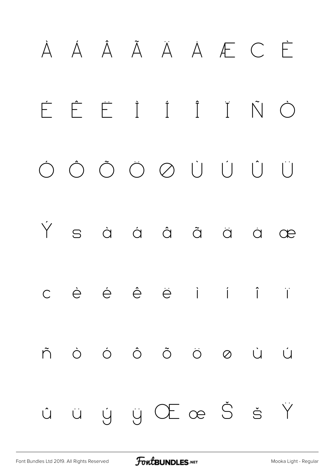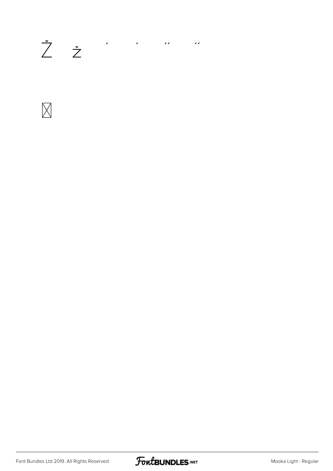# $\begin{array}{ccccccccccccc} \dot{\mathbb{Z}} & \dot{\mathbb{Z}} & & & \cdots & & \cdots & & \cdots \end{array}$



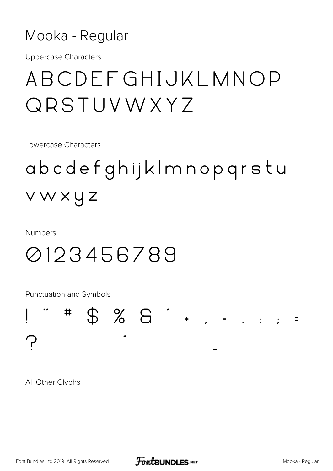#### Mooka - Regular

**Uppercase Characters** 

### ABCDEFGHIJKLMNOP QRSTUVWXYZ

Lowercase Characters

# abcdefghijklmnopgrstu vwxyz

**Numbers** 

### 0123456789

Punctuation and Symbols

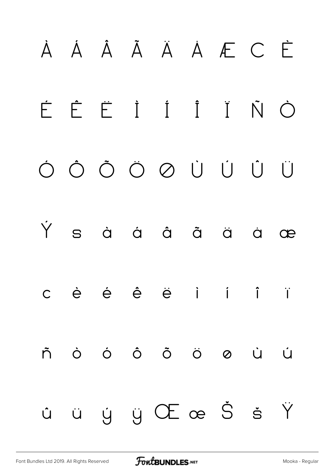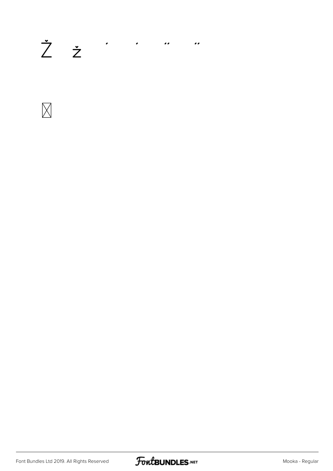# 



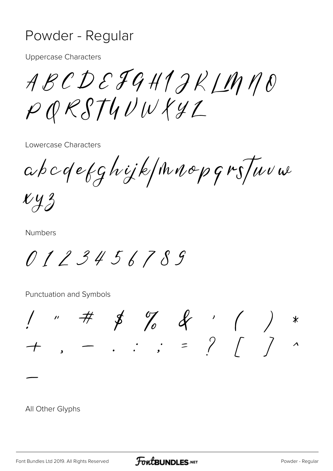#### Powder - Regular

**Uppercase Characters** 

ABCDEJGH1JKLMNO  $PQRSTUUVXYL$ 

Lowercase Characters

abcdefghijk/mnopgrs/www

 $xyz$ 

**Numbers** 

0123456789

Punctuation and Symbols

 $1 " # # "7" # "1" *  
+ "1" + "1" * "1" *  
+ "1" * "1" * "2" *  
+ "1" * "2" * "3" * "3" *  
+ "1" * "3" * "3" * "4" *  
+ "2" * "3" * "4" * "4" * "5" * "5" * "5" * "6" * "6" * "6" * "6" * "7" * "6" * "7" * "7" * "7" * "6" * "7" * "7" * "7" * "8" * "6" * "7" * "7" * "8" * "8" * "6" * "7" * "8" * "6" * "7" * "8" * "7" * "8" * "$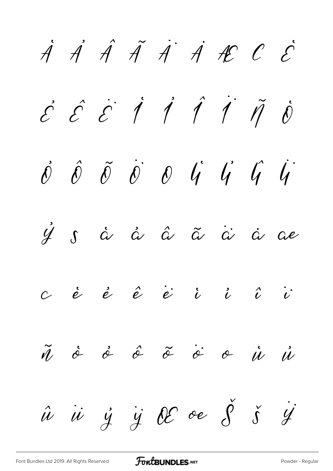$\dot{A}$   $\dot{A}$   $\ddot{A}$   $\ddot{A}$   $\dot{A}$   $\dot{A}$   $\dot{C}$   $\dot{C}$  $\acute{c}$   $\acute{c}$   $\acute{l}$   $\acute{l}$   $\acute{l}$   $\acute{l}$   $\acute{l}$   $\acute{l}$  $\acute{\theta}$   $\acute{\theta}$   $\acute{\theta}$   $\acute{\theta}$   $\acute{\theta}$   $\acute{\theta}$   $\acute{\theta}$   $\acute{\theta}$   $\acute{\theta}$   $\acute{\theta}$  $\dot{\mathcal{Y}}$   $\mathcal{S}$   $\dot{\alpha}$   $\dot{\alpha}$   $\ddot{\alpha}$   $\ddot{\alpha}$   $\dot{\alpha}$   $\dot{\alpha}$   $\dot{\alpha}$   $\dot{\alpha}$  $c$  è è ê ë i i î î ñ ò ó ô õ ö ø ù ú  $\hat{u}$   $\ddot{u}$   $\ddot{y}$   $\ddot{y}$   $\theta$  oe  $\ddot{\theta}$   $\ddot{\delta}$   $\ddot{y}$